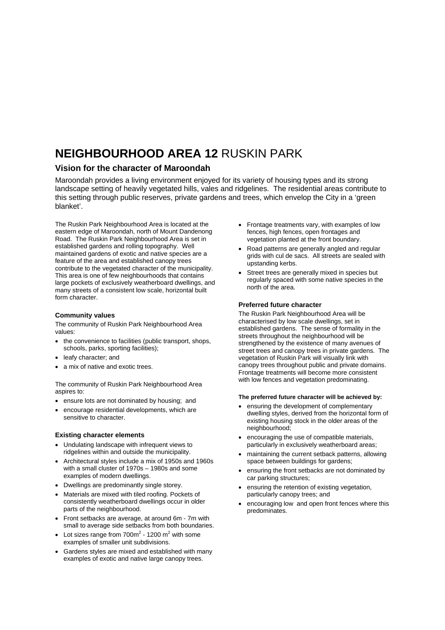# **NEIGHBOURHOOD AREA 12** RUSKIN PARK

### **Vision for the character of Maroondah**

Maroondah provides a living environment enjoyed for its variety of housing types and its strong landscape setting of heavily vegetated hills, vales and ridgelines. The residential areas contribute to this setting through public reserves, private gardens and trees, which envelop the City in a 'green blanket'.

The Ruskin Park Neighbourhood Area is located at the eastern edge of Maroondah, north of Mount Dandenong Road. The Ruskin Park Neighbourhood Area is set in established gardens and rolling topography. Well maintained gardens of exotic and native species are a feature of the area and established canopy trees contribute to the vegetated character of the municipality. This area is one of few neighbourhoods that contains large pockets of exclusively weatherboard dwellings, and many streets of a consistent low scale, horizontal built form character.

#### **Community values**

The community of Ruskin Park Neighbourhood Area values:

- the convenience to facilities (public transport, shops, schools, parks, sporting facilities);
- leafy character: and
- a mix of native and exotic trees.

The community of Ruskin Park Neighbourhood Area aspires to:

- ensure lots are not dominated by housing; and
- encourage residential developments, which are sensitive to character.

#### **Existing character elements**

- Undulating landscape with infrequent views to ridgelines within and outside the municipality.
- Architectural styles include a mix of 1950s and 1960s with a small cluster of 1970s – 1980s and some examples of modern dwellings.
- Dwellings are predominantly single storey.
- Materials are mixed with tiled roofing. Pockets of consistently weatherboard dwellings occur in older parts of the neighbourhood.
- Front setbacks are average, at around 6m 7m with small to average side setbacks from both boundaries.
- Lot sizes range from  $700m^2$  1200 m<sup>2</sup> with some examples of smaller unit subdivisions.
- Gardens styles are mixed and established with many examples of exotic and native large canopy trees.
- Frontage treatments vary, with examples of low fences, high fences, open frontages and vegetation planted at the front boundary.
- Road patterns are generally angled and regular grids with cul de sacs. All streets are sealed with upstanding kerbs.
- Street trees are generally mixed in species but regularly spaced with some native species in the north of the area.

#### **Preferred future character**

The Ruskin Park Neighbourhood Area will be characterised by low scale dwellings, set in established gardens. The sense of formality in the streets throughout the neighbourhood will be strengthened by the existence of many avenues of street trees and canopy trees in private gardens. The vegetation of Ruskin Park will visually link with canopy trees throughout public and private domains. Frontage treatments will become more consistent with low fences and vegetation predominating.

#### **The preferred future character will be achieved by:**

- ensuring the development of complementary dwelling styles, derived from the horizontal form of existing housing stock in the older areas of the neighbourhood:
- encouraging the use of compatible materials, particularly in exclusively weatherboard areas;
- maintaining the current setback patterns, allowing space between buildings for gardens;
- ensuring the front setbacks are not dominated by car parking structures;
- ensuring the retention of existing vegetation, particularly canopy trees; and
- encouraging low and open front fences where this predominates.